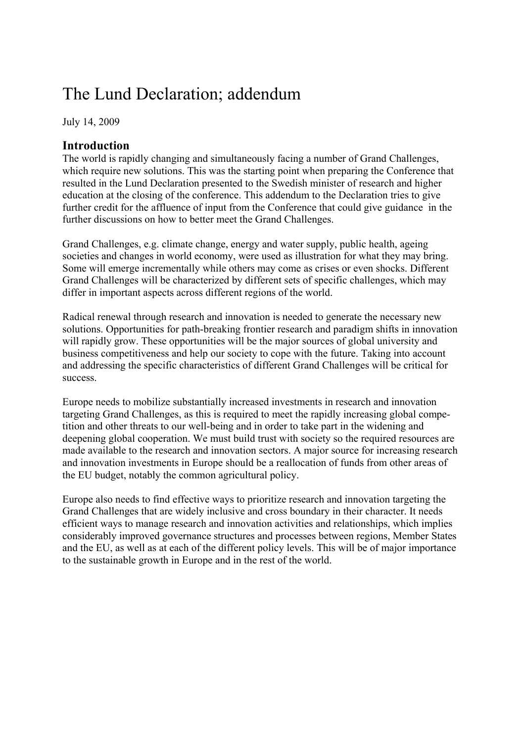# The Lund Declaration; addendum

July 14, 2009

## **Introduction**

The world is rapidly changing and simultaneously facing a number of Grand Challenges, which require new solutions. This was the starting point when preparing the Conference that resulted in the Lund Declaration presented to the Swedish minister of research and higher education at the closing of the conference. This addendum to the Declaration tries to give further credit for the affluence of input from the Conference that could give guidance in the further discussions on how to better meet the Grand Challenges.

Grand Challenges, e.g. climate change, energy and water supply, public health, ageing societies and changes in world economy, were used as illustration for what they may bring. Some will emerge incrementally while others may come as crises or even shocks. Different Grand Challenges will be characterized by different sets of specific challenges, which may differ in important aspects across different regions of the world.

Radical renewal through research and innovation is needed to generate the necessary new solutions. Opportunities for path-breaking frontier research and paradigm shifts in innovation will rapidly grow. These opportunities will be the major sources of global university and business competitiveness and help our society to cope with the future. Taking into account and addressing the specific characteristics of different Grand Challenges will be critical for success.

Europe needs to mobilize substantially increased investments in research and innovation targeting Grand Challenges, as this is required to meet the rapidly increasing global competition and other threats to our well-being and in order to take part in the widening and deepening global cooperation. We must build trust with society so the required resources are made available to the research and innovation sectors. A major source for increasing research and innovation investments in Europe should be a reallocation of funds from other areas of the EU budget, notably the common agricultural policy.

Europe also needs to find effective ways to prioritize research and innovation targeting the Grand Challenges that are widely inclusive and cross boundary in their character. It needs efficient ways to manage research and innovation activities and relationships, which implies considerably improved governance structures and processes between regions, Member States and the EU, as well as at each of the different policy levels. This will be of major importance to the sustainable growth in Europe and in the rest of the world.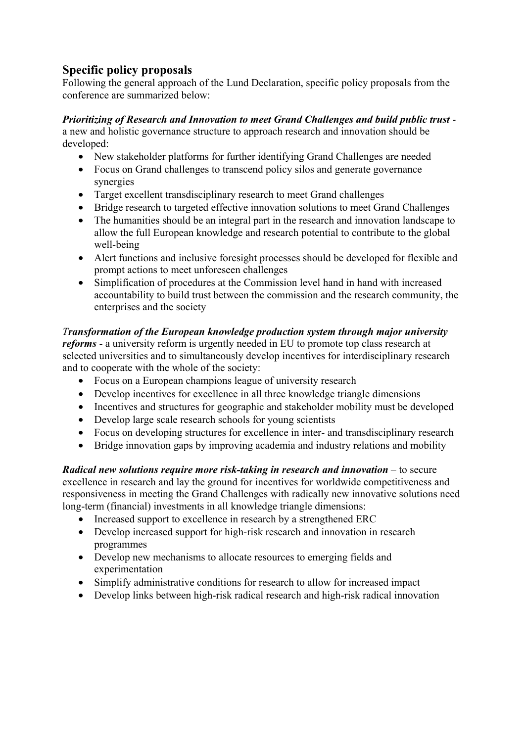# **Specific policy proposals**

Following the general approach of the Lund Declaration, specific policy proposals from the conference are summarized below:

#### *Prioritizing of Research and Innovation to meet Grand Challenges and build public trust* -

a new and holistic governance structure to approach research and innovation should be developed:

- New stakeholder platforms for further identifying Grand Challenges are needed
- Focus on Grand challenges to transcend policy silos and generate governance synergies
- Target excellent transdisciplinary research to meet Grand challenges
- Bridge research to targeted effective innovation solutions to meet Grand Challenges
- The humanities should be an integral part in the research and innovation landscape to allow the full European knowledge and research potential to contribute to the global well-being
- Alert functions and inclusive foresight processes should be developed for flexible and prompt actions to meet unforeseen challenges
- Simplification of procedures at the Commission level hand in hand with increased accountability to build trust between the commission and the research community, the enterprises and the society

### *Transformation of the European knowledge production system through major university*

*reforms* - a university reform is urgently needed in EU to promote top class research at selected universities and to simultaneously develop incentives for interdisciplinary research and to cooperate with the whole of the society:

- Focus on a European champions league of university research
- Develop incentives for excellence in all three knowledge triangle dimensions
- Incentives and structures for geographic and stakeholder mobility must be developed
- Develop large scale research schools for young scientists
- Focus on developing structures for excellence in inter- and transdisciplinary research
- Bridge innovation gaps by improving academia and industry relations and mobility

*Radical new solutions require more risk-taking in research and innovation* – to secure excellence in research and lay the ground for incentives for worldwide competitiveness and responsiveness in meeting the Grand Challenges with radically new innovative solutions need long-term (financial) investments in all knowledge triangle dimensions:

- Increased support to excellence in research by a strengthened ERC
- Develop increased support for high-risk research and innovation in research programmes
- Develop new mechanisms to allocate resources to emerging fields and experimentation
- Simplify administrative conditions for research to allow for increased impact
- Develop links between high-risk radical research and high-risk radical innovation